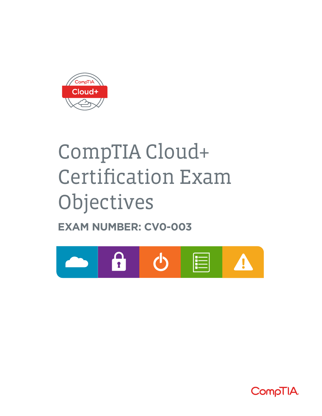

# CompTIA Cloud+ Certification Exam Objectives

**EXAM NUMBER: CV0-003**



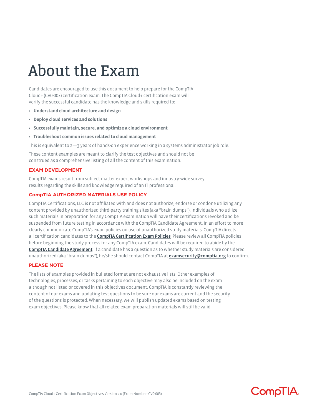## About the Exam

Candidates are encouraged to use this document to help prepare for the CompTIA Cloud+ (CV0-003) certification exam. The CompTIA Cloud+ certification exam will verify the successful candidate has the knowledge and skills required to:

- **• Understand cloud architecture and design**
- **• Deploy cloud services and solutions**
- **• Successfully maintain, secure, and optimize a cloud environment**
- **• Troubleshoot common issues related to cloud management**

This is equivalent to 2—3 years of hands-on experience working in a systems administrator job role.

These content examples are meant to clarify the test objectives and should not be construed as a comprehensive listing of all the content of this examination.

#### **EXAM DEVELOPMENT**

CompTIA exams result from subject matter expert workshops and industry-wide survey results regarding the skills and knowledge required of an IT professional.

#### **CompTIA AUTHORIZED MATERIALS USE POLICY**

CompTIA Certifications, LLC is not affiliated with and does not authorize, endorse or condone utilizing any content provided by unauthorized third-party training sites (aka "brain dumps"). Individuals who utilize such materials in preparation for any CompTIA examination will have their certifications revoked and be suspended from future testing in accordance with the CompTIA Candidate Agreement. In an effort to more clearly communicate CompTIA's exam policies on use of unauthorized study materials, CompTIA directs all certification candidates to the **[CompTIA Certification Exam Policies](https://www.comptia.org/testing/test-policies)**. Please review all CompTIA policies before beginning the study process for any CompTIA exam. Candidates will be required to abide by the [CompTIA Candidate Agreement](https://www.comptia.org/testing/test-policies/comptia-candidate-agreement). If a candidate has a question as to whether study materials are considered unauthorized (aka "brain dumps"), he/she should contact CompTIA at [examsecurity@comptia.org](mailto:examsecurity%40comptia.org?subject=) to confirm.

#### **PLEASE NOTE**

The lists of examples provided in bulleted format are not exhaustive lists. Other examples of technologies, processes, or tasks pertaining to each objective may also be included on the exam although not listed or covered in this objectives document. CompTIA is constantly reviewing the content of our exams and updating test questions to be sure our exams are current and the security of the questions is protected. When necessary, we will publish updated exams based on testing exam objectives. Please know that all related exam preparation materials will still be valid.

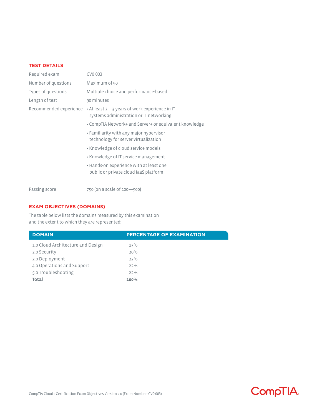#### **TEST DETAILS**

| Required exam          | CV0-003                                                                                  |
|------------------------|------------------------------------------------------------------------------------------|
| Number of questions    | Maximum of 90                                                                            |
| Types of questions     | Multiple choice and performance-based                                                    |
| Length of test         | 90 minutes                                                                               |
| Recommended experience | • At least 2-3 years of work experience in IT<br>systems administration or IT networking |
|                        | • CompTIA Network+ and Server+ or equivalent knowledge                                   |
|                        | • Familiarity with any major hypervisor<br>technology for server virtualization          |
|                        | • Knowledge of cloud service models                                                      |
|                        | • Knowledge of IT service management                                                     |
|                        | • Hands-on experience with at least one<br>public or private cloud laaS platform         |
|                        |                                                                                          |

Passing score 750 (on a scale of 100-900)

#### **EXAM OBJECTIVES (DOMAINS)**

The table below lists the domains measured by this examination and the extent to which they are represented:

| <b>DOMAIN</b>                     | <b>PERCENTAGE OF EXAMINATION</b> |
|-----------------------------------|----------------------------------|
| 1.0 Cloud Architecture and Design | 13%                              |
| 2.0 Security                      | 20%                              |
| 3.0 Deployment                    | 23%                              |
| 4.0 Operations and Support        | 22%                              |
| 5.0 Troubleshooting               | 22%                              |
| <b>Total</b>                      | 100%                             |

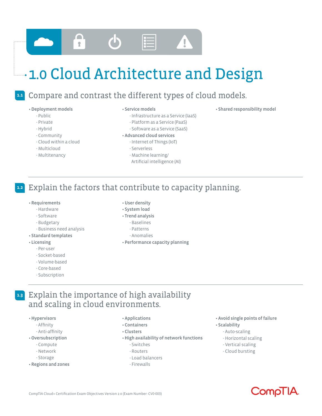

## 1.0 Cloud Architecture and Design

#### Compare and contrast the different types of cloud models. **1.1**

#### • Deployment models

- Public
- Private
- Hybrid
- Community
- Cloud within a cloud
- Multicloud
- Multitenancy

#### • Service models

- Infrastructure as a Service (IaaS)
- Platform as a Service (PaaS)
- Software as a Service (SaaS)

#### • Advanced cloud services

- Internet of Things (IoT)
- Serverless
- Machine learning/
- Artificial intelligence (AI)

#### Explain the factors that contribute to capacity planning. **1.2**

- Requirements
	- Hardware
	- Software
	- Budgetary
	- Business need analysis
- Standard templates

#### • Licensing

- Per-user
- Socket-based
- Volume-based
- Core-based
- Subscription
- User density
- System load
- Trend analysis
	- Baselines
	- Patterns
	- Anomalies
- Performance capacity planning

## Explain the importance of high availability **1.3** and scaling in cloud environments.

- Hypervisors
	- Affinity
	- Anti-affinity
- Oversubscription
	- Compute
	- Network
	- Storage
- Regions and zones
- Applications
- Containers
- Clusters
- High availability of network functions
	- Switches
	- Routers
	- Load balancers
	- Firewalls
- Avoid single points of failure
- Scalability
	- Auto-scaling
	- Horizontal scaling
	- Vertical scaling
	- Cloud bursting

## Compli<sup>A</sup>

- Shared responsibility model
- 
- 
-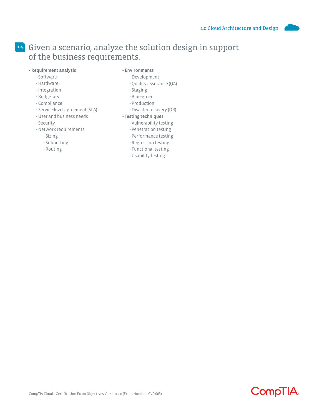### Given a scenario, analyze the solution design in support **1.4** of the business requirements.

#### • Requirement analysis

#### • Environments

- Software
- Hardware
- Integration
- Budgetary
- Compliance
- Service-level agreement (SLA)
- User and business needs
- Security
- Network requirements
	- Sizing
	- Subnetting
	- Routing
- Development
- Quality assurance (QA)
- Staging
- Blue-green
- Production
- Disaster recovery (DR)

#### • Testing techniques

- Vulnerability testing
- Penetration testing
- Performance testing
- Regression testing
- Functional testing
- Usability testing

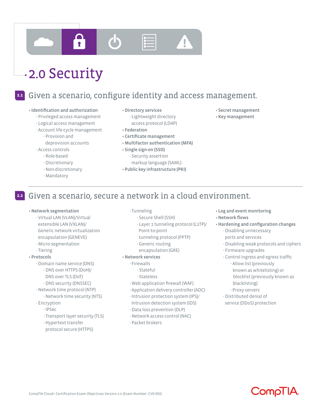

## **2.0 Security**

#### **2.1**

## Given a scenario, configure identity and access management.

#### • Identification and authorization

- Privileged access management
- Logical access management
- Account life-cycle management - Provision and
	- deprovision accounts
- Access controls
	- Role-based
	- Discretionary
	- Non-discretionary
	- Mandatory
- Directory services - Lightweight directory
- Federation
- Certificate management
- Multifactor authentication (MFA)
- Single sign-on (SSO) - Security assertion markup language (SAML)
	-
- 

#### Given a scenario, secure a network in a cloud environment. **2.2**

#### • Network segmentation

- Virtual LAN (VLAN)/Virtual extensible LAN (VXLAN)/ Generic network virtualization encapsulation (GENEVE)
- Micro-segmentation
- Tiering

#### • Protocols

- Domain name service (DNS)
- DNS over HTTPS (DoH)/
- DNS over TLS (DoT)
- DNS security (DNSSEC)
- Network time protocol (NTP)
- Network time security (NTS)
- Encryption
	- IPSec
		- Transport layer security (TLS)
		- Hypertext transfer
		- protocol secure (HTTPS)
- Tunneling
	- Secure Shell (SSH)
	- Layer 2 tunneling protocol (L2TP)/
	- Point-to-point
	- tunneling protocol (PPTP)
	- Generic routing
	- encapsulation (GRE)

#### • Network services

- Firewalls
	- Stateful
	- Stateless
- Web application firewall (WAF)
- Application delivery controller (ADC)
- Intrusion protection system (IPS)/
- Intrusion detection system (IDS)
- Data loss prevention (DLP)
- Network access control (NAC)
- Packet brokers

• Log and event monitoring

• Secret management • Key management

- Network flows
- Hardening and configuration changes - Disabling unnecessary
	- ports and services
	- Disabling weak protocols and ciphers
	- Firmware upgrades
	- Control ingress and egress traffic - Allow list (previously known as whitelisting) or blocklist (previously known as blacklisting)
		- Proxy servers
	- Distributed denial of service (DDoS) protection



- access protocol (LDAP)
- 
- 
- Public key infrastructure (PKI)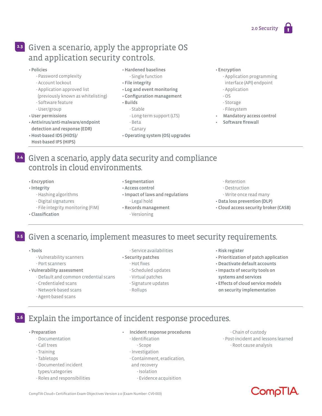### Given a scenario, apply the appropriate OS **2.3** and application security controls.

#### • Policies

- Password complexity
- Account lockout
- Application approved list
- (previously known as whitelisting)
- Software feature
- User/group
- User permissions
- Antivirus/anti-malware/endpoint detection and response (EDR)
- Host-based IDS (HIDS)/
- Host-based IPS (HIPS)
- Hardened baselines
- Single function
- File integrity
- 
- Configuration management
- Builds
	- Stable
	- Long-term support (LTS)
	-
- Operating system (OS) upgrades
- Encryption
	- Application programming
	- interface (API) endpoint
	- Application
	- OS
	- Storage
	- Filesystem
- Mandatory access control
- Software firewall
- Given a scenario, apply data security and compliance **2.4** controls in cloud environments.
	- Encryption
	- Integrity
		- Hashing algorithms
		- Digital signatures
		- File integrity monitoring (FIM)
	- Classification
- Segmentation
- Access control
- Impact of laws and regulations - Legal hold
- Records management - Versioning
- Retention
- Destruction
- Write once read many
- Data loss prevention (DLP)
- Cloud access security broker (CASB)

### Given a scenario, implement measures to meet security requirements. **2.5**

- Tools
	- Vulnerability scanners
	- Port scanners
- Vulnerability assessment
	- Default and common credential scans
	- Credentialed scans
	- Network-based scans
	- Agent-based scans

#### - Service availabilities

- Security patches
	- Hot fixes
	- Scheduled updates
	- Virtual patches
	- Signature updates
	- Rollups

#### • Risk register

- Prioritization of patch application
- Deactivate default accounts
- Impacts of security tools on systems and services
- Effects of cloud service models on security implementation

### Explain the importance of incident response procedures.

• Preparation

**2.6**

- Documentation
- Call trees
- Training
- Tabletops
- Documented incident
- types/categories
- Roles and responsibilities
- Incident response procedures
	- Identification
	- Scope
	- Investigation
	- Containment, eradication,
	- and recovery
	- Isolation
	- Evidence acquisition

 - Chain of custody - Post-incident and lessons learned - Root cause analysis

CompliA

CompTIA Cloud+ Certification Exam Objectives Version 2.0 (Exam Number: CV0-003)

- 
- Beta - Canary
- 
- Log and event monitoring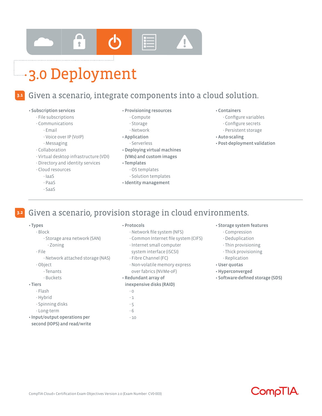

## **3.0 Deployment**

#### Given a scenario, integrate components into a cloud solution. **3.1**

#### • Subscription services

- File subscriptions
- Communications
	- Email
	- Voice over IP (VoIP)
	- Messaging
- Collaboration
- Virtual desktop infrastructure (VDI)
- Directory and identity services
- Cloud resources

- Zoning

 - Tenants - Buckets

• Input/output operations per second (IOPS) and read/write

- IaaS
- PaaS
- SaaS
- Provisioning resources
	- Compute
	- Storage
	- Network
- Application
	- Serverless
- Deploying virtual machines (VMs) and custom images
- Templates
	- OS templates
	- Solution templates
- Identity management
- Containers
	- Configure variables
	- Configure secrets
	- Persistent storage
- Auto-scaling
- Post-deployment validation

#### Given a scenario, provision storage in cloud environments. **3.2**

#### • Types - Block

- File

• Tiers - Flash - Hybrid - Spinning disks - Long-term

- Object

#### • Protocols

- Network file system (NFS)
- Common Internet file system (CIFS)
- Internet small computer
- system interface (iSCSI)
- Fibre Channel (FC)
- Non-volatile memory express over fabrics (NVMe-oF)
- Redundant array of

#### inexpensive disks (RAID)

- 0
- 1
- 5
- 6 - 10

#### • Storage system features

- Compression
- Deduplication
- Thin provisioning
- Thick provisioning
- Replication
- User quotas
- Hyperconverged
- Software-defined storage (SDS)



#### - Storage area network (SAN)

- Network attached storage (NAS)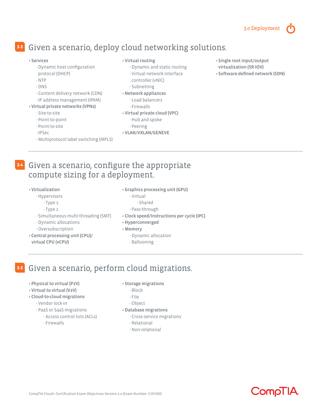#### 3.0 Deployment

## Given a scenario, deploy cloud networking solutions. **3.3**

#### • Services

- Dynamic host configuration protocol (DHCP)
- NTP
- DNS
- Content delivery network (CDN)
- IP address management (IPAM)

#### • Virtual private networks (VPNs)

- Site-to-site
- Point-to-point
- Point-to-site
- IPSec
- Multiprotocol label switching (MPLS)

#### • Virtual routing

- Dynamic and static routing
- Virtual network interface

#### controller (vNIC)

- Subnetting
- Network appliances
	- Load balancers
	- Firewalls
- Virtual private cloud (VPC)
	- Hub and spoke
	- Peering
- VLAN/VXLAN/GENEVE
- Single root input/output virtualization (SR-IOV)
- Software-defined network (SDN)

### Given a scenario, configure the appropriate **3.4** compute sizing for a deployment.

#### • Virtualization

- Hypervisors
	- Type 1
	- Type 2
- Simultaneous multi-threading (SMT)
- Dynamic allocations
- Oversubscription
- Central processing unit (CPU)/ virtual CPU (vCPU)
- Graphics processing unit (GPU)
	- Virtual
		- Shared
	- Pass-through
- Clock speed/Instructions per cycle (IPC)
- Hyperconverged
- Memory
	- Dynamic allocation
	- Ballooning

#### Given a scenario, perform cloud migrations. **3.5**

- Physical to virtual (P2V)
- Virtual to virtual (V2V)
- Cloud-to-cloud migrations
	- Vendor lock-in
	- PaaS or SaaS migrations - Access control lists (ACLs)
		- Firewalls
- 
- 
- Storage migrations
	- Block
	- File
	- Object
- Database migrations
	- Cross-service migrations
	- Relational
	- Non-relational

**CompliA**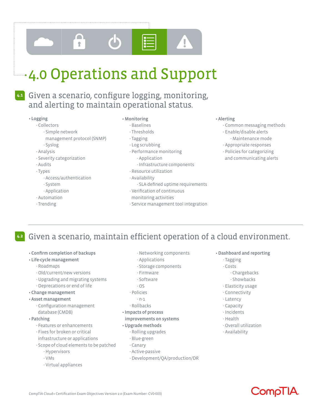

## 4.0 Operations and Support

## Given a scenario, configure logging, monitoring, **4.1** and alerting to maintain operational status.

#### • Logging

#### - Collectors

- Simple network
- management protocol (SNMP)
- Syslog
- Analysis
- Severity categorization
- Audits
- Types
	- Access/authentication
	- System
	- Application
- Automation
- Trending

#### • Monitoring

- Baselines
- Thresholds
- Tagging
- Log scrubbing
- Performance monitoring
	- Application
	- Infrastructure components
- Resource utilization
- Availability
	- SLA-defined uptime requirements
- Verification of continuous
- monitoring activities
- Service management tool integration

#### • Alerting

- Common messaging methods
- Enable/disable alerts - Maintenance mode
- Appropriate responses
- Policies for categorizing and communicating alerts

#### Given a scenario, maintain efficient operation of a cloud environment. **4.2**

- Confirm completion of backups
- Life-cycle management
	- Roadmaps
	- Old/current/new versions
	- Upgrading and migrating systems - Deprecations or end of life
- Change management

#### • Asset management

- Configuration management database (CMDB)
- Patching
	- Features or enhancements
	- Fixes for broken or critical
	- infrastructure or applications
	- Scope of cloud elements to be patched
		- Hypervisors
		- VMs
		- Virtual appliances
- Networking components
- Applications
- Storage components
- Firmware
- Software
- OS
- Policies
- n-1
- Rollbacks
- Impacts of process improvements on systems

#### • Upgrade methods

- Rolling upgrades
- Blue-green
- Canary
- Active-passive
- Development/QA/production/DR
- Dashboard and reporting
	- Tagging
	- Costs
		- Chargebacks
		- Showbacks
	- Elasticity usage
	- Connectivity
	- Latency
	- Capacity
	- Incidents
	- Health
	- Overall utilization
	- Availability

Compli<sup>A</sup>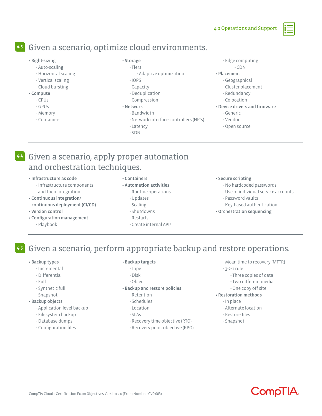## Given a scenario, optimize cloud environments. **4.3**

#### • Right-sizing

- Auto-scaling
- Horizontal scaling
- Vertical scaling
- Cloud bursting
- Compute
	- CPUs
	- GPUs
	- Memory
	- Containers

#### • Storage - Tiers

- Adaptive optimization
- IOPS
- Capacity
- Deduplication
- Compression

#### • Network

- Bandwidth
	- Network interface controllers (NICs)
	- Latency
- SDN
- Edge computing
- CDN

#### • Placement

- Geographical
- Cluster placement
- Redundancy
- Colocation

#### • Device drivers and firmware

- Generic
- Vendor
- Open source
- Given a scenario, apply proper automation **4.4** and orchestration techniques.
	- Infrastructure as code
		- Infrastructure components and their integration
	- Continuous integration/ continuous deployment (CI/CD)
	- Version control
	- Configuration management - Playbook
- Containers
- Automation activities
	- Routine operations
	- Updates
	- Scaling
	- Shutdowns
	- Restarts
	- Create internal APIs

#### • Secure scripting

- No hardcoded passwords
- Use of individual service accounts
- Password vaults
- Key-based authentication
- Orchestration sequencing
- Given a scenario, perform appropriate backup and restore operations. **4.5**
	- Backup types
		- Incremental
		- Differential
		- Full
		- Synthetic full
		- Snapshot
	- Backup objects
		- Application-level backup
		- Filesystem backup
		- Database dumps
		- Configuration files

#### • Backup targets

- Tape
- Disk
- Object
- Backup and restore policies
	- Retention
	- Schedules
	- Location
	- SLAs
	- Recovery time objective (RTO)
	- Recovery point objective (RPO)
- Mean time to recovery (MTTR)
- 3-2-1 rule
	- Three copies of data
	- Two different media
	- One copy off site
- Restoration methods
	- In place
	- Alternate location
	- Restore files
	- Snapshot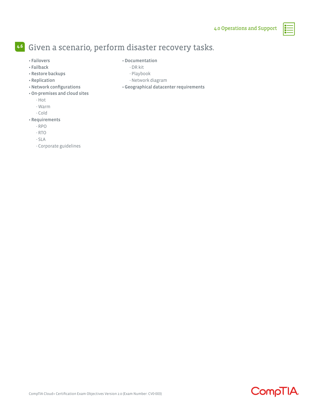## Given a scenario, perform disaster recovery tasks. **4.6**

• Failovers • Failback

#### • Documentation

- DR kit
- Playbook
- Network diagram
- Geographical datacenter requirements
- On-premises and cloud sites
	- Hot
	- Warm

• Restore backups • Replication

• Network configurations

- Cold
- Requirements
	- RPO
	- RTO
	- SLA
	- Corporate guidelines

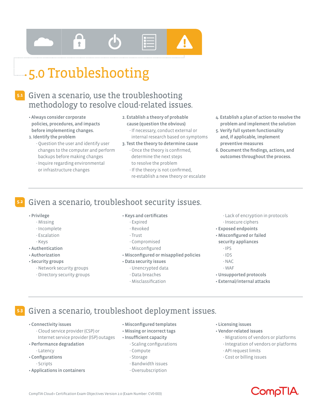## $\blacksquare$  $\hat{r}$

## **5.0 Troubleshooting**

## Given a scenario, use the troubleshooting **5.1** methodology to resolve cloud-related issues.

- Always consider corporate policies, procedures, and impacts before implementing changes.
- 1. Identify the problem
	- Question the user and identify user changes to the computer and perform backups before making changes
	- Inquire regarding environmental or infrastructure changes
- 2. Establish a theory of probable cause (question the obvious)
	- If necessary, conduct external or internal research based on symptoms
- 3. Test the theory to determine cause
- Once the theory is confirmed, determine the next steps to resolve the problem
- If the theory is not confirmed, re-establish a new theory or escalate
- 4. Establish a plan of action to resolve the problem and implement the solution
- 5. Verify full system functionality and, if applicable, implement preventive measures
- 6. Document the findings, actions, and outcomes throughout the process.

#### Given a scenario, troubleshoot security issues. **5.2**

#### • Privilege

- Missing
- Incomplete
- Escalation
- Keys
- Authentication
- Authorization
- Security groups
	- Network security groups
	- Directory security groups

#### • Keys and certificates

- Expired
- Revoked
- Trust
- Compromised
- Misconfigured
- Misconfigured or misapplied policies

#### • Data security issues

- Unencrypted data
- Data breaches
- Misclassification

#### - Lack of encryption in protocols

- Insecure ciphers
- Exposed endpoints
- Misconfigured or failed
- security appliances
	- IPS
	- IDS
	- NAC
	- WAF
- Unsupported protocols
- External/internal attacks

#### Given a scenario, troubleshoot deployment issues. **5.3**

- Connectivity issues
	- Cloud service provider (CSP) or Internet service provider (ISP) outages
- Performance degradation
	- Latency
- Configurations
	- Scripts
- Applications in containers
- Misconfigured templates
- Missing or incorrect tags
- Insufficient capacity - Scaling configurations
	- Compute
	- Storage
	- Bandwidth issues
	- Oversubscription
- Licensing issues
- Vendor-related issues
	- Migrations of vendors or platforms
	- Integration of vendors or platforms
	- API request limits
	- Cost or billing issues



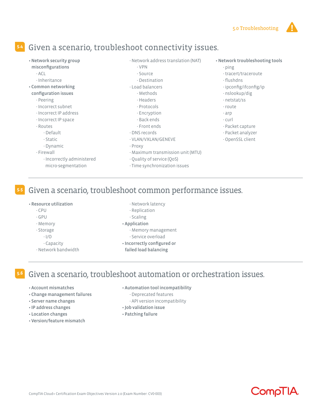### Given a scenario, troubleshoot connectivity issues. **5.4**

- Network security group
- misconfigurations
	- ACL
- Inheritance
- Common networking configuration issues
	- Peering
	- Incorrect subnet
	- Incorrect IP address
	- Incorrect IP space
	- Routes
	- - Default - Static
		-
	- Dynamic
	- Firewall
		- Incorrectly administered micro-segmentation
- Network address translation (NAT)
	- VPN
	- Source - Destination
- Load balancers
	- Methods
	- Headers
	- Protocols
	- Encryption
	- Back ends
- Front ends
- DNS records
- VLAN/VXLAN/GENEVE
- Proxy
- Maximum transmission unit (MTU)
- Quality of service (QoS)
- Time synchronization issues
- Network troubleshooting tools
	- ping
	- tracert/traceroute
	- flushdns
	- ipconfig/ifconfig/ip
	- nslookup/dig
	- netstat/ss
	- route
	- arp
	- curl
	- Packet capture
	- Packet analyzer
	- OpenSSL client

Given a scenario, troubleshoot common performance issues.

#### • Resource utilization

 $-$  CPU

**5.5**

- GPU
- Memory
- Storage
	- I/O
	- Capacity
- Network bandwidth
- Network latency
- Replication
- Scaling
- Application
	- Memory management
	- Service overload
- Incorrectly configured or
- failed load balancing

#### Given a scenario, troubleshoot automation or orchestration issues. **5.6**

- Account mismatches
- Change management failures
- Server name changes
- IP address changes
- Location changes
- Version/feature mismatch
- Automation tool incompatibility
	- Deprecated features
	- API version incompatibility
- Job validation issue
- Patching failure

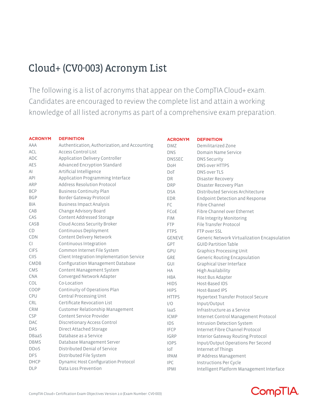## Cloud+ (CV0-003) Acronym List

The following is a list of acronyms that appear on the CompTIA Cloud+ exam. Candidates are encouraged to review the complete list and attain a working knowledge of all listed acronyms as part of a comprehensive exam preparation.

| <b>ACRONYM</b> | <b>DEFINITION</b>                             | <b>ACRONYM</b> | <b>DEFINITION</b>                            |
|----------------|-----------------------------------------------|----------------|----------------------------------------------|
| AAA            | Authentication, Authorization, and Accounting | <b>DMZ</b>     | Demilitarized Zone                           |
| <b>ACL</b>     | <b>Access Control List</b>                    | <b>DNS</b>     | Domain Name Service                          |
| <b>ADC</b>     | Application Delivery Controller               | <b>DNSSEC</b>  | <b>DNS Security</b>                          |
| AES            | Advanced Encryption Standard                  | DoH            | DNS over HTTPS                               |
| AI             | Artificial Intelligence                       | DoT            | DNS over TLS                                 |
| API            | Application Programming Interface             | <b>DR</b>      | Disaster Recovery                            |
| ARP            | Address Resolution Protocol                   | <b>DRP</b>     | Disaster Recovery Plan                       |
| <b>BCP</b>     | <b>Business Continuity Plan</b>               | <b>DSA</b>     | Distributed Services Architecture            |
| <b>BGP</b>     | Border Gateway Protocol                       | EDR            | <b>Endpoint Detection and Response</b>       |
| <b>BIA</b>     | <b>Business Impact Analysis</b>               | FC             | Fibre Channel                                |
| CAB            | Change Advisory Board                         | FCoE           | Fibre Channel over Ethernet                  |
| CAS            | Content Addressed Storage                     | <b>FIM</b>     | File Integrity Monitoring                    |
| CASB           | Cloud Access Security Broker                  | <b>FTP</b>     | File Transfer Protocol                       |
| CD             | Continuous Deployment                         | <b>FTPS</b>    | FTP over SSL                                 |
| <b>CDN</b>     | Content Delivery Network                      | GENEVE         | Generic Network Virtualization Encapsulation |
| CI             | Continuous Integration                        | <b>GPT</b>     | <b>GUID Partition Table</b>                  |
| <b>CIFS</b>    | Common Internet File System                   | GPU            | <b>Graphics Processing Unit</b>              |
| CIIS           | Client Integration Implementation Service     | <b>GRE</b>     | <b>Generic Routing Encapsulation</b>         |
| <b>CMDB</b>    | Configuration Management Database             | GUI            | Graphical User Interface                     |
| CMS            | Content Management System                     | <b>HA</b>      | High Availability                            |
| <b>CNA</b>     | Converged Network Adapter                     | <b>HBA</b>     | Host Bus Adapter                             |
| COL            | Co-Location                                   | <b>HIDS</b>    | Host-Based IDS                               |
| COOP           | Continuity of Operations Plan                 | <b>HIPS</b>    | Host-Based IPS                               |
| CPU            | Central Processing Unit                       | <b>HTTPS</b>   | Hypertext Transfer Protocol Secure           |
| CRL            | Certificate Revocation List                   | I/O            | Input/Output                                 |
| <b>CRM</b>     | Customer Relationship Management              | laaS           | Infrastructure as a Service                  |
| <b>CSP</b>     | Content Service Provider                      | <b>ICMP</b>    | Internet Control Management Protocol         |
| <b>DAC</b>     | Discretionary Access Control                  | IDS            | <b>Intrusion Detection System</b>            |
| DAS            | Direct Attached Storage                       | <b>IFCP</b>    | Internet Fibre Channel Protocol              |
| DBaaS          | Database as a Service                         | <b>IGRP</b>    | Interior Gateway Routing Protocol            |
| <b>DBMS</b>    | Database Management Server                    | <b>IOPS</b>    | Input/Output Operations Per Second           |
| <b>DDoS</b>    | Distributed Denial of Service                 | IoT            | Internet of Things                           |
| <b>DFS</b>     | Distributed File System                       | <b>IPAM</b>    | IP Address Management                        |
| <b>DHCP</b>    | <b>Dynamic Host Configuration Protocol</b>    | <b>IPC</b>     | Instructions Per Cycle                       |
| <b>DLP</b>     | Data Loss Prevention                          | <b>IPMI</b>    | Intelligent Platform Management Interface    |

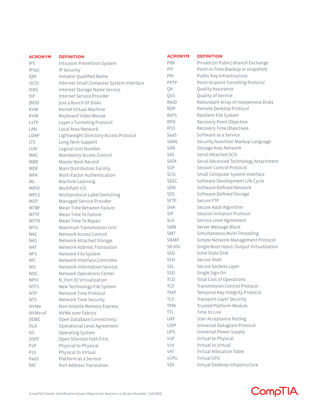| <b>ACRONYM</b>    | <b>DEFINITION</b>                        | <b>ACRONYM</b>   | <b>DEFINITION</b>                        |  |
|-------------------|------------------------------------------|------------------|------------------------------------------|--|
| <b>IPS</b>        | Intrusion Prevention System              | <b>PBX</b>       | Private (or Public) Branch Exchange      |  |
| <b>IPSec</b>      | IP Security                              | PIT              | Point-in-Time (backup or snapshot)       |  |
| IQN               | Initiator Qualified Name                 | PKI              | Public Key Infrastructure                |  |
| <b>iSCSI</b>      | Internet Small Computer System Interface | PPTP             | Point-to-point Tunneling Protocol        |  |
| <b>ISNS</b>       | Internet Storage Name Service            | QA               | Quality Assurance                        |  |
| <b>ISP</b>        | Internet Service Provider                | QoS              | Quality of Service                       |  |
| <b>JBOD</b>       | Just a Bunch Of Disks                    | RAID             | Redundant Array of Inexpensive Disks     |  |
| <b>KVM</b>        | Kernel Virtual Machine                   | <b>RDP</b>       | Remote Desktop Protocol                  |  |
| <b>KVM</b>        | Keyboard Video Mouse                     | ReFS             | Resilient File System                    |  |
| L <sub>2</sub> TP | Layer 2 Tunneling Protocol               | <b>RPO</b>       | Recovery Point Objective                 |  |
| LAN               | Local Area Network                       | <b>RTO</b>       | Recovery Time Objectives                 |  |
| LDAP              | Lightweight Directory Access Protocol    | SaaS             | Software as a Service                    |  |
| <b>LTS</b>        | Long Term Support                        | <b>SAML</b>      | Security Assertion Markup Language       |  |
| <b>LUN</b>        | Logical Unit Number                      | <b>SAN</b>       | Storage Area Network                     |  |
| MAC               | Mandatory Access Control                 | SAS              | Serial Attached SCSI                     |  |
| <b>MBR</b>        | Master Boot Record                       | <b>SATA</b>      | Serial Advanced Technology Attachment    |  |
| <b>MDF</b>        | Main Distribution Facility               | SCP              | Session Control Protocol                 |  |
| <b>MFA</b>        | Multi-Factor Authentication              | SCSI             | Small Computer System Interface          |  |
| ML                | Machine Learning                         | SDLC             | Software Development Life Cycle          |  |
| <b>MPIO</b>       | MultiPath I/O                            | SDN              | Software-Defined Network                 |  |
| <b>MPLS</b>       | Multiprotocol Label Switching            | SDS              | Software-Defined Storage                 |  |
| <b>MSP</b>        | Managed Service Provider                 | <b>SFTP</b>      | Secure FTP                               |  |
| <b>MTBF</b>       | Mean Time Between Failure                | <b>SHA</b>       | Secure Hash Algorithm                    |  |
| <b>MTTF</b>       | Mean Time To Failure                     | <b>SIP</b>       | Session Initiation Protocol              |  |
| <b>MTTR</b>       | Mean Time To Repair                      | <b>SLA</b>       | Service Level Agreement                  |  |
| <b>MTU</b>        | <b>Maximum Transmission Unit</b>         | <b>SMB</b>       | Server Message Block                     |  |
| <b>NAC</b>        | Network Access Control                   | <b>SMT</b>       | Simultaneous Multi-Threading             |  |
| <b>NAS</b>        | Network Attached Storage                 | <b>SNMP</b>      | Simple Network Management Protocol       |  |
| <b>NAT</b>        | Network Address Translation              | SR-IOV           | Single-Root Input/ Output Virtualization |  |
| <b>NFS</b>        | Network File System                      | <b>SSD</b>       | Solid State Disk                         |  |
| <b>NIC</b>        | Network Interface Controller             | SSH              | Secure Shell                             |  |
| <b>NIS</b>        | Network Information Service              | SSL              | Secure Sockets Layer                     |  |
| <b>NOC</b>        | Network Operations Center                | SSO              | Single Sign-On                           |  |
| <b>NPIV</b>       | N_Port ID Virtualization                 | <b>TCO</b>       | <b>Total Cost of Operations</b>          |  |
| <b>NTFS</b>       | New Technology File System               | <b>TCP</b>       | <b>Transmission Control Protocol</b>     |  |
| <b>NTP</b>        | Network Time Protocol                    | <b>TKIP</b>      | Temporal Key Integrity Protocol          |  |
| <b>NTS</b>        | Network Time Security                    | TLS              | Transport Layer Security                 |  |
| <b>NVMe</b>       | Non-Volatile Memory Express              | <b>TPM</b>       | Trusted Platform Module                  |  |
| NVMe-oF           | NVMe over Fabrics                        | <b>TTL</b>       | Time to Live                             |  |
| ODBC              | Open Database Connectivity               | <b>UAT</b>       | <b>User Acceptance Testing</b>           |  |
| OLA               | Operational Level Agreement              | <b>UDP</b>       | Universal Datagram Protocol              |  |
| OS.               | Operating System                         | <b>UPS</b>       | Universal Power Supply                   |  |
| <b>OSPF</b>       | Open Shortest Path First                 | V2P              | Virtual to Physical                      |  |
| P <sub>2</sub> P  | Physical to Physical                     | V <sub>2</sub> V | Virtual to Virtual                       |  |
| P <sub>2</sub> V  | Physical to Virtual                      | VAT              | Virtual Allocation Table                 |  |
| PaaS              | Platform as a Service                    | <b>VCPU</b>      | Virtual CPU                              |  |
| PAT               | Port Address Translation                 | VDI              | Virtual Desktop Infrastructure           |  |

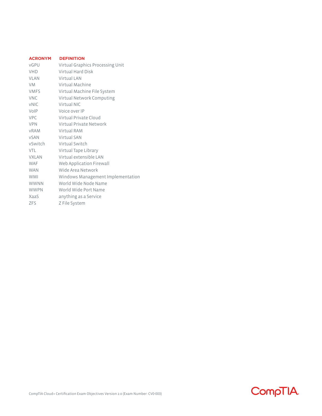| <b>ACRONYM</b> | <b>DEFINITION</b>                 |
|----------------|-----------------------------------|
| vGPU           | Virtual Graphics Processing Unit  |
| <b>VHD</b>     | Virtual Hard Disk                 |
| <b>VLAN</b>    | Virtual LAN                       |
| <b>VM</b>      | Virtual Machine                   |
| <b>VMFS</b>    | Virtual Machine File System       |
| <b>VNC</b>     | Virtual Network Computing         |
| <b>vNIC</b>    | Virtual NIC                       |
| VoIP           | Voice over IP                     |
| <b>VPC</b>     | Virtual Private Cloud             |
| <b>VPN</b>     | Virtual Private Network           |
| <b>vRAM</b>    | Virtual RAM                       |
| <b>vSAN</b>    | Virtual SAN                       |
| vSwitch        | Virtual Switch                    |
| VTI            | Virtual Tape Library              |
| <b>VXLAN</b>   | Virtual extensible LAN            |
| <b>WAF</b>     | Web Application Firewall          |
| <b>WAN</b>     | Wide Area Network                 |
| <b>WMI</b>     | Windows Management Implementation |
| <b>WWNN</b>    | World Wide Node Name              |
| <b>WWPN</b>    | World Wide Port Name              |
| XaaS           | anything as a Service             |
| <b>ZFS</b>     | Z File System                     |
|                |                                   |